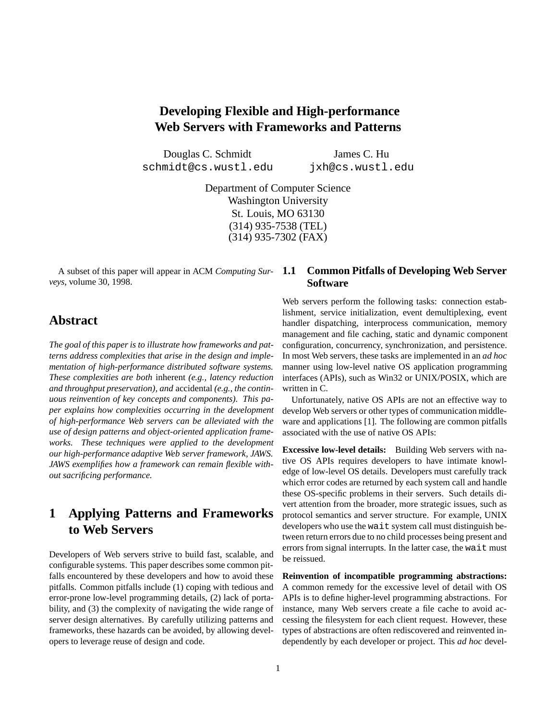# **Developing Flexible and High-performance Web Servers with Frameworks and Patterns**

Douglas C. Schmidt schmidt@cs.wustl.edu

James C. Hu jxh@cs.wustl.edu

Department of Computer Science Washington University St. Louis, MO 63130 (314) 935-7538 (TEL) (314) 935-7302 (FAX)

A subset of this paper will appear in ACM *Computing Surveys*, volume 30, 1998.

## **Abstract**

*The goal of this paper is to illustrate how frameworks and patterns address complexities that arise in the design and implementation of high-performance distributed software systems. These complexities are both* inherent *(e.g., latency reduction and throughput preservation), and* accidental *(e.g., the continuous reinvention of key concepts and components). This paper explains how complexities occurring in the development of high-performance Web servers can be alleviated with the use of design patterns and object-oriented application frameworks. These techniques were applied to the development our high-performance adaptive Web server framework, JAWS. JAWS exemplifies how a framework can remain flexible without sacrificing performance.*

# **1 Applying Patterns and Frameworks to Web Servers**

Developers of Web servers strive to build fast, scalable, and configurable systems. This paper describes some common pitfalls encountered by these developers and how to avoid these pitfalls. Common pitfalls include (1) coping with tedious and error-prone low-level programming details, (2) lack of portability, and (3) the complexity of navigating the wide range of server design alternatives. By carefully utilizing patterns and frameworks, these hazards can be avoided, by allowing developers to leverage reuse of design and code.

#### **1.1 Common Pitfalls of Developing Web Server Software**

Web servers perform the following tasks: connection establishment, service initialization, event demultiplexing, event handler dispatching, interprocess communication, memory management and file caching, static and dynamic component configuration, concurrency, synchronization, and persistence. In most Web servers, these tasks are implemented in an *ad hoc* manner using low-level native OS application programming interfaces (APIs), such as Win32 or UNIX/POSIX, which are written in C.

Unfortunately, native OS APIs are not an effective way to develop Web servers or other types of communication middleware and applications [1]. The following are common pitfalls associated with the use of native OS APIs:

**Excessive low-level details:** Building Web servers with native OS APIs requires developers to have intimate knowledge of low-level OS details. Developers must carefully track which error codes are returned by each system call and handle these OS-specific problems in their servers. Such details divert attention from the broader, more strategic issues, such as protocol semantics and server structure. For example, UNIX developers who use the wait system call must distinguish between return errors due to no child processes being present and errors from signal interrupts. In the latter case, the wait must be reissued.

**Reinvention of incompatible programming abstractions:** A common remedy for the excessive level of detail with OS APIs is to define higher-level programming abstractions. For instance, many Web servers create a file cache to avoid accessing the filesystem for each client request. However, these types of abstractions are often rediscovered and reinvented independently by each developer or project. This *ad hoc* devel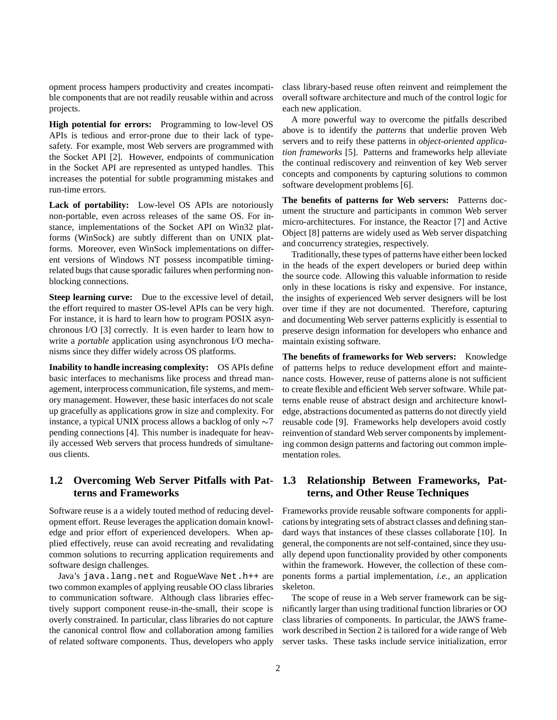opment process hampers productivity and creates incompatible components that are not readily reusable within and across projects.

**High potential for errors:** Programming to low-level OS APIs is tedious and error-prone due to their lack of typesafety. For example, most Web servers are programmed with the Socket API [2]. However, endpoints of communication in the Socket API are represented as untyped handles. This increases the potential for subtle programming mistakes and run-time errors.

**Lack of portability:** Low-level OS APIs are notoriously non-portable, even across releases of the same OS. For instance, implementations of the Socket API on Win32 platforms (WinSock) are subtly different than on UNIX platforms. Moreover, even WinSock implementations on different versions of Windows NT possess incompatible timingrelated bugs that cause sporadic failures when performing nonblocking connections.

**Steep learning curve:** Due to the excessive level of detail, the effort required to master OS-level APIs can be very high. For instance, it is hard to learn how to program POSIX asynchronous I/O [3] correctly. It is even harder to learn how to write a *portable* application using asynchronous I/O mechanisms since they differ widely across OS platforms.

**Inability to handle increasing complexity:** OS APIs define basic interfaces to mechanisms like process and thread management, interprocess communication, file systems, and memory management. However, these basic interfaces do not scale up gracefully as applications grow in size and complexity. For instance, a typical UNIX process allows a backlog of only  $\sim$ 7 pending connections [4]. This number is inadequate for heavily accessed Web servers that process hundreds of simultaneous clients.

#### **1.2 Overcoming Web Server Pitfalls with Patterns and Frameworks**

Software reuse is a a widely touted method of reducing development effort. Reuse leverages the application domain knowledge and prior effort of experienced developers. When applied effectively, reuse can avoid recreating and revalidating common solutions to recurring application requirements and software design challenges.

Java's java.lang.net and RogueWave Net.h++ are two common examples of applying reusable OO class libraries to communication software. Although class libraries effectively support component reuse-in-the-small, their scope is overly constrained. In particular, class libraries do not capture the canonical control flow and collaboration among families of related software components. Thus, developers who apply class library-based reuse often reinvent and reimplement the overall software architecture and much of the control logic for each new application.

A more powerful way to overcome the pitfalls described above is to identify the *patterns* that underlie proven Web servers and to reify these patterns in *object-oriented application frameworks* [5]. Patterns and frameworks help alleviate the continual rediscovery and reinvention of key Web server concepts and components by capturing solutions to common software development problems [6].

**The benefits of patterns for Web servers:** Patterns document the structure and participants in common Web server micro-architectures. For instance, the Reactor [7] and Active Object [8] patterns are widely used as Web server dispatching and concurrency strategies, respectively.

Traditionally, these types of patterns have either been locked in the heads of the expert developers or buried deep within the source code. Allowing this valuable information to reside only in these locations is risky and expensive. For instance, the insights of experienced Web server designers will be lost over time if they are not documented. Therefore, capturing and documenting Web server patterns explicitly is essential to preserve design information for developers who enhance and maintain existing software.

**The benefits of frameworks for Web servers:** Knowledge of patterns helps to reduce development effort and maintenance costs. However, reuse of patterns alone is not sufficient to create flexible and efficient Web server software. While patterns enable reuse of abstract design and architecture knowledge, abstractions documented as patterns do not directly yield reusable code [9]. Frameworks help developers avoid costly reinvention of standard Web server components by implementing common design patterns and factoring out common implementation roles.

#### **1.3 Relationship Between Frameworks, Patterns, and Other Reuse Techniques**

Frameworks provide reusable software components for applications by integrating sets of abstract classes and defining standard ways that instances of these classes collaborate [10]. In general, the components are not self-contained, since they usually depend upon functionality provided by other components within the framework. However, the collection of these components forms a partial implementation, *i.e.*, an application skeleton.

The scope of reuse in a Web server framework can be significantly larger than using traditional function libraries or OO class libraries of components. In particular, the JAWS framework described in Section 2 is tailored for a wide range of Web server tasks. These tasks include service initialization, error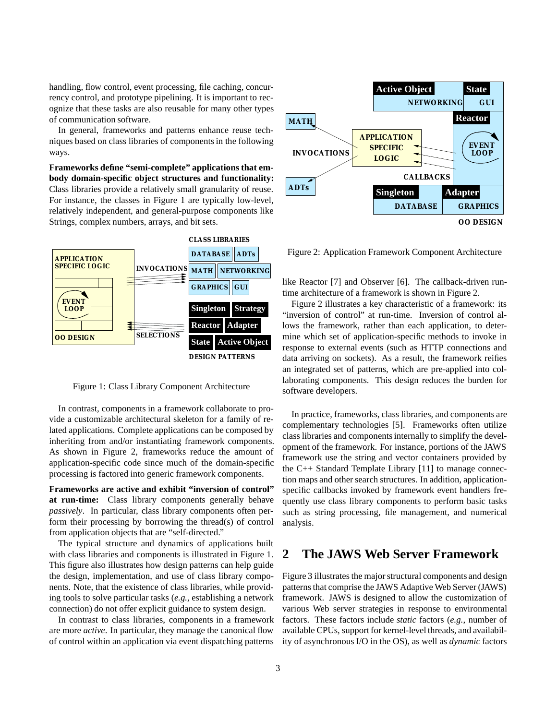handling, flow control, event processing, file caching, concurrency control, and prototype pipelining. It is important to recognize that these tasks are also reusable for many other types of communication software.

In general, frameworks and patterns enhance reuse techniques based on class libraries of components in the following ways.

**Frameworks define "semi-complete" applications that embody domain-specific object structures and functionality:** Class libraries provide a relatively small granularity of reuse. For instance, the classes in Figure 1 are typically low-level, relatively independent, and general-purpose components like Strings, complex numbers, arrays, and bit sets.



Figure 1: Class Library Component Architecture

In contrast, components in a framework collaborate to provide a customizable architectural skeleton for a family of related applications. Complete applications can be composed by inheriting from and/or instantiating framework components. As shown in Figure 2, frameworks reduce the amount of application-specific code since much of the domain-specific processing is factored into generic framework components.

**Frameworks are active and exhibit "inversion of control" at run-time:** Class library components generally behave *passively*. In particular, class library components often perform their processing by borrowing the thread(s) of control from application objects that are "self-directed."

The typical structure and dynamics of applications built with class libraries and components is illustrated in Figure 1. This figure also illustrates how design patterns can help guide the design, implementation, and use of class library components. Note, that the existence of class libraries, while providing tools to solve particular tasks (*e.g.*, establishing a network connection) do not offer explicit guidance to system design.

In contrast to class libraries, components in a framework are more *active*. In particular, they manage the canonical flow of control within an application via event dispatching patterns



Figure 2: Application Framework Component Architecture

like Reactor [7] and Observer [6]. The callback-driven runtime architecture of a framework is shown in Figure 2.

Figure 2 illustrates a key characteristic of a framework: its "inversion of control" at run-time. Inversion of control allows the framework, rather than each application, to determine which set of application-specific methods to invoke in response to external events (such as HTTP connections and data arriving on sockets). As a result, the framework reifies an integrated set of patterns, which are pre-applied into collaborating components. This design reduces the burden for software developers.

In practice, frameworks, class libraries, and components are complementary technologies [5]. Frameworks often utilize class libraries and components internally to simplify the development of the framework. For instance, portions of the JAWS framework use the string and vector containers provided by the C++ Standard Template Library [11] to manage connection maps and other search structures. In addition, applicationspecific callbacks invoked by framework event handlers frequently use class library components to perform basic tasks such as string processing, file management, and numerical analysis.

### **2 The JAWS Web Server Framework**

Figure 3 illustrates the major structural components and design patterns that comprise the JAWS Adaptive Web Server (JAWS) framework. JAWS is designed to allow the customization of various Web server strategies in response to environmental factors. These factors include *static* factors (*e.g.*, number of available CPUs, support for kernel-level threads, and availability of asynchronous I/O in the OS), as well as *dynamic* factors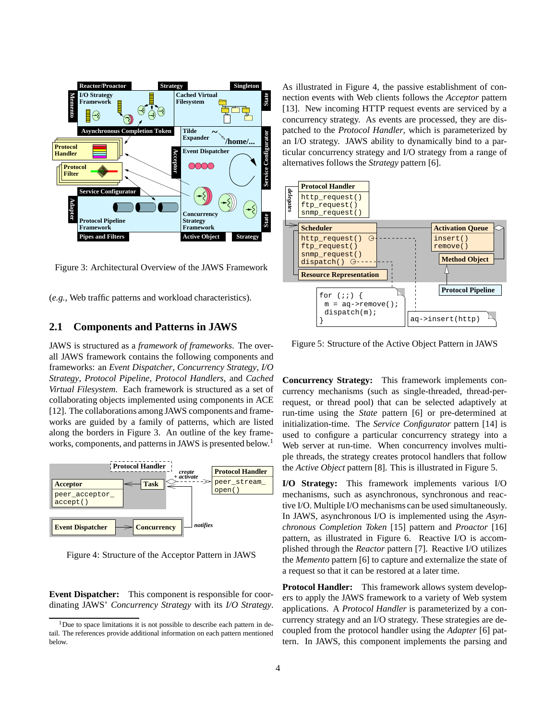

Figure 3: Architectural Overview of the JAWS Framework

(*e.g.*, Web traffic patterns and workload characteristics).

#### **2.1 Components and Patterns in JAWS**

JAWS is structured as a *framework of frameworks*. The overall JAWS framework contains the following components and frameworks: an *Event Dispatcher*, *Concurrency Strategy*, *I/O Strategy*, *Protocol Pipeline*, *Protocol Handlers*, and *Cached Virtual Filesystem*. Each framework is structured as a set of collaborating objects implemented using components in ACE [12]. The collaborations among JAWS components and frameworks are guided by a family of patterns, which are listed along the borders in Figure 3. An outline of the key frameworks, components, and patterns in JAWS is presented below.<sup>1</sup>



Figure 4: Structure of the Acceptor Pattern in JAWS

**Event Dispatcher:** This component is responsible for coordinating JAWS' *Concurrency Strategy* with its *I/O Strategy*. As illustrated in Figure 4, the passive establishment of connection events with Web clients follows the *Acceptor* pattern [13]. New incoming HTTP request events are serviced by a concurrency strategy. As events are processed, they are dispatched to the *Protocol Handler*, which is parameterized by an I/O strategy. JAWS ability to dynamically bind to a particular concurrency strategy and I/O strategy from a range of alternatives follows the *Strategy* pattern [6].



Figure 5: Structure of the Active Object Pattern in JAWS

**Concurrency Strategy:** This framework implements concurrency mechanisms (such as single-threaded, thread-perrequest, or thread pool) that can be selected adaptively at run-time using the *State* pattern [6] or pre-determined at initialization-time. The *Service Configurator* pattern [14] is used to configure a particular concurrency strategy into a Web server at run-time. When concurrency involves multiple threads, the strategy creates protocol handlers that follow the *Active Object* pattern [8]. This is illustrated in Figure 5.

**I/O Strategy:** This framework implements various I/O mechanisms, such as asynchronous, synchronous and reactive I/O. Multiple I/O mechanisms can be used simultaneously. In JAWS, asynchronous I/O is implemented using the *Asynchronous Completion Token* [15] pattern and *Proactor* [16] pattern, as illustrated in Figure 6. Reactive I/O is accomplished through the *Reactor* pattern [7]. Reactive I/O utilizes the *Memento* pattern [6] to capture and externalize the state of a request so that it can be restored at a later time.

**Protocol Handler:** This framework allows system developers to apply the JAWS framework to a variety of Web system applications. A *Protocol Handler* is parameterized by a concurrency strategy and an I/O strategy. These strategies are decoupled from the protocol handler using the *Adapter* [6] pattern. In JAWS, this component implements the parsing and

 $1$ Due to space limitations it is not possible to describe each pattern in detail. The references provide additional information on each pattern mentioned below.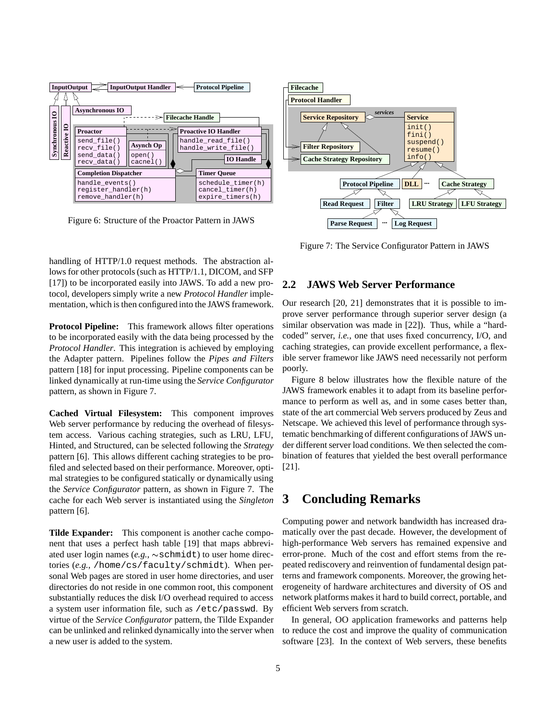

Figure 6: Structure of the Proactor Pattern in JAWS

handling of HTTP/1.0 request methods. The abstraction allows for other protocols (such as HTTP/1.1, DICOM, and SFP [17]) to be incorporated easily into JAWS. To add a new protocol, developers simply write a new *Protocol Handler* implementation, which is then configured into the JAWS framework.

**Protocol Pipeline:** This framework allows filter operations to be incorporated easily with the data being processed by the *Protocol Handler*. This integration is achieved by employing the Adapter pattern. Pipelines follow the *Pipes and Filters* pattern [18] for input processing. Pipeline components can be linked dynamically at run-time using the *Service Configurator* pattern, as shown in Figure 7.

**Cached Virtual Filesystem:** This component improves Web server performance by reducing the overhead of filesystem access. Various caching strategies, such as LRU, LFU, Hinted, and Structured, can be selected following the *Strategy* pattern [6]. This allows different caching strategies to be profiled and selected based on their performance. Moreover, optimal strategies to be configured statically or dynamically using the *Service Configurator* pattern, as shown in Figure 7. The cache for each Web server is instantiated using the *Singleton* pattern [6].

**Tilde Expander:** This component is another cache component that uses a perfect hash table [19] that maps abbreviated user login names  $(e.g., \sim \text{schmidt})$  to user home directories (*e.g.*, /home/cs/faculty/schmidt). When personal Web pages are stored in user home directories, and user directories do not reside in one common root, this component substantially reduces the disk I/O overhead required to access a system user information file, such as /etc/passwd. By virtue of the *Service Configurator* pattern, the Tilde Expander can be unlinked and relinked dynamically into the server when a new user is added to the system.



Figure 7: The Service Configurator Pattern in JAWS

#### **2.2 JAWS Web Server Performance**

Our research [20, 21] demonstrates that it is possible to improve server performance through superior server design (a similar observation was made in [22]). Thus, while a "hardcoded" server, *i.e.*, one that uses fixed concurrency, I/O, and caching strategies, can provide excellent performance, a flexible server framewor like JAWS need necessarily not perform poorly.

Figure 8 below illustrates how the flexible nature of the JAWS framework enables it to adapt from its baseline performance to perform as well as, and in some cases better than, state of the art commercial Web servers produced by Zeus and Netscape. We achieved this level of performance through systematic benchmarking of different configurations of JAWS under different server load conditions. We then selected the combination of features that yielded the best overall performance [21].

### **3 Concluding Remarks**

Computing power and network bandwidth has increased dramatically over the past decade. However, the development of high-performance Web servers has remained expensive and error-prone. Much of the cost and effort stems from the repeated rediscovery and reinvention of fundamental design patterns and framework components. Moreover, the growing heterogeneity of hardware architectures and diversity of OS and network platforms makes it hard to build correct, portable, and efficient Web servers from scratch.

In general, OO application frameworks and patterns help to reduce the cost and improve the quality of communication software [23]. In the context of Web servers, these benefits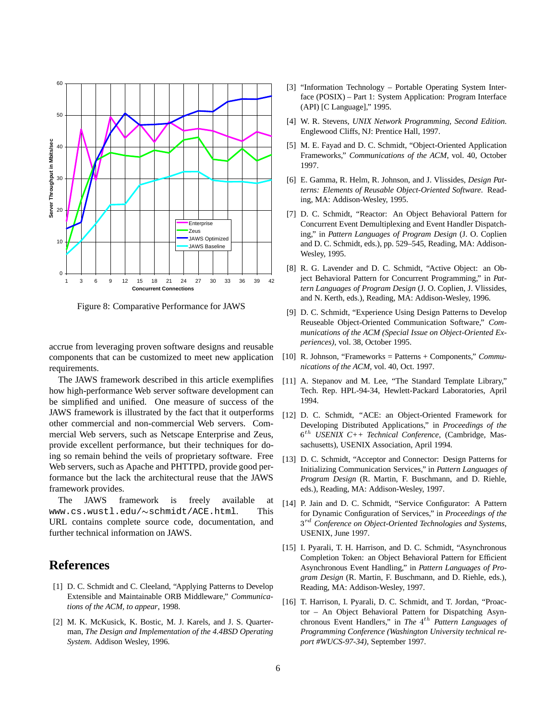

Figure 8: Comparative Performance for JAWS

accrue from leveraging proven software designs and reusable components that can be customized to meet new application requirements.

The JAWS framework described in this article exemplifies how high-performance Web server software development can be simplified and unified. One measure of success of the JAWS framework is illustrated by the fact that it outperforms other commercial and non-commercial Web servers. Commercial Web servers, such as Netscape Enterprise and Zeus, provide excellent performance, but their techniques for doing so remain behind the veils of proprietary software. Free Web servers, such as Apache and PHTTPD, provide good performance but the lack the architectural reuse that the JAWS framework provides.

The JAWS framework is freely available at  $www.cs.wust1.edu/\sim schmidt/ACE.html.$  This URL contains complete source code, documentation, and further technical information on JAWS.

## **References**

- [1] D. C. Schmidt and C. Cleeland, "Applying Patterns to Develop Extensible and Maintainable ORB Middleware," *Communications of the ACM, to appear*, 1998.
- [2] M. K. McKusick, K. Bostic, M. J. Karels, and J. S. Quarterman, *The Design and Implementation of the 4.4BSD Operating System*. Addison Wesley, 1996.
- [3] "Information Technology Portable Operating System Interface (POSIX) – Part 1: System Application: Program Interface (API) [C Language]," 1995.
- [4] W. R. Stevens, *UNIX Network Programming, Second Edition*. Englewood Cliffs, NJ: Prentice Hall, 1997.
- [5] M. E. Fayad and D. C. Schmidt, "Object-Oriented Application Frameworks," *Communications of the ACM*, vol. 40, October 1997.
- [6] E. Gamma, R. Helm, R. Johnson, and J. Vlissides, *Design Patterns: Elements of Reusable Object-Oriented Software*. Reading, MA: Addison-Wesley, 1995.
- [7] D. C. Schmidt, "Reactor: An Object Behavioral Pattern for Concurrent Event Demultiplexing and Event Handler Dispatching," in *Pattern Languages of Program Design* (J. O. Coplien and D. C. Schmidt, eds.), pp. 529–545, Reading, MA: Addison-Wesley, 1995.
- [8] R. G. Lavender and D. C. Schmidt, "Active Object: an Object Behavioral Pattern for Concurrent Programming," in *Pattern Languages of Program Design* (J. O. Coplien, J. Vlissides, and N. Kerth, eds.), Reading, MA: Addison-Wesley, 1996.
- [9] D. C. Schmidt, "Experience Using Design Patterns to Develop Reuseable Object-Oriented Communication Software," *Communications of the ACM (Special Issue on Object-Oriented Experiences)*, vol. 38, October 1995.
- [10] R. Johnson, "Frameworks = Patterns + Components," *Communications of the ACM*, vol. 40, Oct. 1997.
- [11] A. Stepanov and M. Lee, "The Standard Template Library," Tech. Rep. HPL-94-34, Hewlett-Packard Laboratories, April 1994.
- [12] D. C. Schmidt, "ACE: an Object-Oriented Framework for Developing Distributed Applications," in *Proceedings of the* <sup>6</sup> th *USENIX C++ Technical Conference*, (Cambridge, Massachusetts), USENIX Association, April 1994.
- [13] D. C. Schmidt, "Acceptor and Connector: Design Patterns for Initializing Communication Services," in *Pattern Languages of Program Design* (R. Martin, F. Buschmann, and D. Riehle, eds.), Reading, MA: Addison-Wesley, 1997.
- [14] P. Jain and D. C. Schmidt, "Service Configurator: A Pattern for Dynamic Configuration of Services," in *Proceedings of the* <sup>3</sup> rd *Conference on Object-Oriented Technologies and Systems*, USENIX, June 1997.
- [15] I. Pyarali, T. H. Harrison, and D. C. Schmidt, "Asynchronous Completion Token: an Object Behavioral Pattern for Efficient Asynchronous Event Handling," in *Pattern Languages of Program Design* (R. Martin, F. Buschmann, and D. Riehle, eds.), Reading, MA: Addison-Wesley, 1997.
- [16] T. Harrison, I. Pyarali, D. C. Schmidt, and T. Jordan, "Proactor – An Object Behavioral Pattern for Dispatching Asynchronous Event Handlers," in *The* 4<sup>th</sup> Pattern Languages of *Programming Conference (Washington University technical report #WUCS-97-34)*, September 1997.